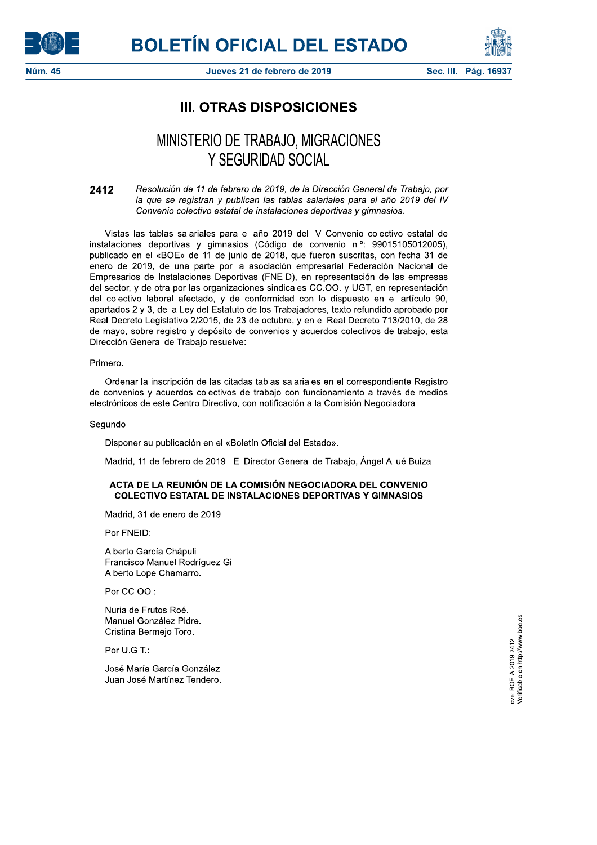



Sec. III. Pág. 1693

# **III. OTRAS DISPOSICIONES**

# MINISTERIO DE TRABAJO, MIGRACIONES Y SEGURIDAD SOCIAL

Resolución de 11 de febrero de 2019, de la Dirección General de Trabajo, por 2412 la que se registran y publican las tablas salariales para el año 2019 del IV Convenio colectivo estatal de instalaciones deportivas y gimnasios.

Vistas las tablas salariales para el año 2019 del IV Convenio colectivo estatal de instalaciones deportivas y gimnasios (Código de convenio n.º: 99015105012005), publicado en el «BOE» de 11 de junio de 2018, que fueron suscritas, con fecha 31 de enero de 2019, de una parte por la asociación empresarial Federación Nacional de Empresarios de Instalaciones Deportivas (FNEID), en representación de las empresas del sector, y de otra por las organizaciones sindicales CC.OO. y UGT, en representación del colectivo laboral afectado, y de conformidad con lo dispuesto en el artículo 90, apartados 2 y 3, de la Ley del Estatuto de los Trabajadores, texto refundido aprobado por Real Decreto Legislativo 2/2015, de 23 de octubre, y en el Real Decreto 713/2010, de 28 de mayo, sobre registro y depósito de convenios y acuerdos colectivos de trabajo, esta Dirección General de Trabajo resuelve:

#### Primero.

Ordenar la inscripción de las citadas tablas salariales en el correspondiente Registro de convenios y acuerdos colectivos de trabajo con funcionamiento a través de medios electrónicos de este Centro Directivo, con notificación a la Comisión Negociadora.

Segundo.

Disponer su publicación en el «Boletín Oficial del Estado».

Madrid, 11 de febrero de 2019.-El Director General de Trabajo, Ángel Allué Buiza.

## ACTA DE LA REUNIÓN DE LA COMISIÓN NEGOCIADORA DEL CONVENIO **COLECTIVO ESTATAL DE INSTALACIONES DEPORTIVAS Y GIMNASIOS**

Madrid, 31 de enero de 2019.

Por FNEID:

Alberto García Chápuli. Francisco Manuel Rodríguez Gil. Alberto Lope Chamarro.

Por CC.OO.:

Nuria de Frutos Roé. Manuel González Pidre. Cristina Bermejo Toro.

Por U.G.T.:

José María García González. Juan José Martínez Tendero. cve: BOE-A-2019-2412<br>Verificable en http://www.boe.es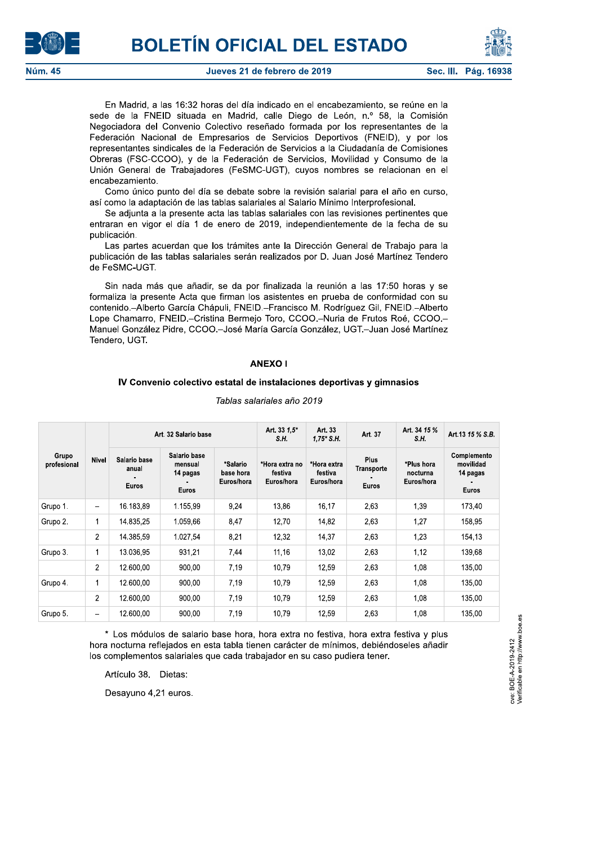



En Madrid, a las 16:32 horas del día indicado en el encabezamiento, se reúne en la sede de la FNEID situada en Madrid, calle Diego de León, n.º 58, la Comisión Negociadora del Convenio Colectivo reseñado formada por los representantes de la Federación Nacional de Empresarios de Servicios Deportivos (FNEID), y por los representantes sindicales de la Federación de Servicios a la Ciudadanía de Comisiones Obreras (FSC-CCOO), y de la Federación de Servicios, Movilidad y Consumo de la Unión General de Trabajadores (FeSMC-UGT), cuyos nombres se relacionan en el encabezamiento.

Como único punto del día se debate sobre la revisión salarial para el año en curso, así como la adaptación de las tablas salariales al Salario Mínimo Interprofesional.

Se adjunta a la presente acta las tablas salariales con las revisiones pertinentes que entraran en vigor el día 1 de enero de 2019, independientemente de la fecha de su publicación.

Las partes acuerdan que los trámites ante la Dirección General de Trabajo para la publicación de las tablas salariales serán realizados por D. Juan José Martínez Tendero de FeSMC-UGT.

Sin nada más que añadir, se da por finalizada la reunión a las 17:50 horas y se formaliza la presente Acta que firman los asistentes en prueba de conformidad con su contenido.-Alberto García Chápuli, FNEID.-Francisco M. Rodríguez Gil, FNEID.-Alberto Lope Chamarro, FNEID.-Cristina Bermeio Toro, CCOO.-Nuria de Frutos Roé, CCOO.-Manuel González Pidre, CCOO.-José María García González, UGT.-Juan José Martínez Tendero, UGT.

## **ANEXO I**

#### IV Convenio colectivo estatal de instalaciones deportivas y gimnasios

| Grupo<br>profesional | <b>Nivel</b>   | Art. 32 Salario base                  |                                                     |                                     | Art. 33 1.5*<br>S.H.                    | Art. 33<br>$1,75$ * S.H.             | Art. 37                                   | Art. 34 15 %<br>S.H.                 | Art.13 15 % S.B.                                     |
|----------------------|----------------|---------------------------------------|-----------------------------------------------------|-------------------------------------|-----------------------------------------|--------------------------------------|-------------------------------------------|--------------------------------------|------------------------------------------------------|
|                      |                | Salario base<br>anual<br><b>Euros</b> | Salario base<br>mensual<br>14 pagas<br><b>Euros</b> | *Salario<br>base hora<br>Euros/hora | *Hora extra no<br>festiva<br>Euros/hora | *Hora extra<br>festiva<br>Euros/hora | <b>Plus</b><br>Transporte<br><b>Euros</b> | *Plus hora<br>nocturna<br>Euros/hora | Complemento<br>movilidad<br>14 pagas<br><b>Euros</b> |
| Grupo 1.             | -              | 16.183.89                             | 1.155.99                                            | 9,24                                | 13,86                                   | 16,17                                | 2,63                                      | 1,39                                 | 173.40                                               |
| Grupo 2.             | 1              | 14.835.25                             | 1.059.66                                            | 8,47                                | 12,70                                   | 14.82                                | 2.63                                      | 1,27                                 | 158,95                                               |
|                      | $\overline{2}$ | 14.385,59                             | 1.027,54                                            | 8,21                                | 12,32                                   | 14,37                                | 2.63                                      | 1,23                                 | 154,13                                               |
| Grupo 3.             | 1              | 13.036,95                             | 931,21                                              | 7,44                                | 11,16                                   | 13,02                                | 2,63                                      | 1,12                                 | 139,68                                               |
|                      | $\overline{2}$ | 12.600.00                             | 900.00                                              | 7,19                                | 10.79                                   | 12.59                                | 2.63                                      | 1.08                                 | 135.00                                               |
| Grupo 4.             | $\mathbf{1}$   | 12.600,00                             | 900,00                                              | 7.19                                | 10.79                                   | 12.59                                | 2.63                                      | 1,08                                 | 135,00                                               |
|                      | $\overline{c}$ | 12.600,00                             | 900,00                                              | 7.19                                | 10,79                                   | 12.59                                | 2,63                                      | 1,08                                 | 135,00                                               |
| Grupo 5.             | -              | 12.600,00                             | 900,00                                              | 7,19                                | 10,79                                   | 12,59                                | 2,63                                      | 1,08                                 | 135,00                                               |

#### Tablas salariales año 2019

\* Los módulos de salario base hora, hora extra no festiva, hora extra festiva y plus hora nocturna refleiados en esta tabla tienen carácter de mínimos, debiéndoseles añadir los complementos salariales que cada trabajador en su caso pudiera tener.

Artículo 38. Dietas:

Desayuno 4,21 euros.